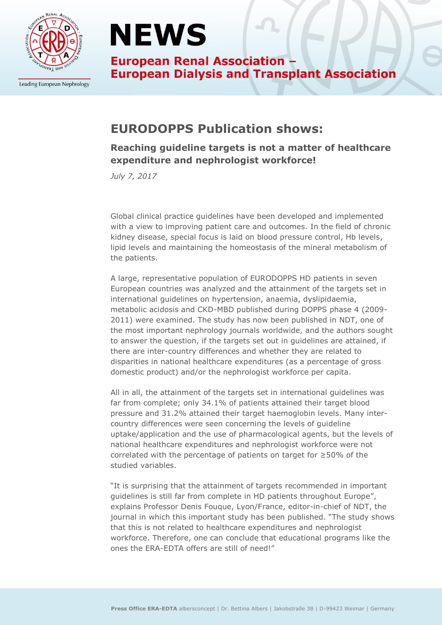

Leading European Nephrology

# **NEWS**

**European Renal Association -European Dialysis and Transplant Association** 

## **EURODOPPS Publication shows:**

### **Reaching guideline targets is not a matter of healthcare expenditure and nephrologist workforce!**

*July 7, 2017*

Global clinical practice guidelines have been developed and implemented with a view to improving patient care and outcomes. In the field of chronic kidney disease, special focus is laid on blood pressure control, Hb levels, lipid levels and maintaining the homeostasis of the mineral metabolism of the patients.

A large, representative population of EURODOPPS HD patients in seven European countries was analyzed and the attainment of the targets set in international guidelines on hypertension, anaemia, dyslipidaemia, metabolic acidosis and CKD-MBD published during DOPPS phase 4 (2009- 2011) were examined. The study has now been published in NDT, one of the most important nephrology journals worldwide, and the authors sought to answer the question, if the targets set out in guidelines are attained, if there are inter-country differences and whether they are related to disparities in national healthcare expenditures (as a percentage of gross domestic product) and/or the nephrologist workforce per capita.

All in all, the attainment of the targets set in international guidelines was far from complete; only 34.1% of patients attained their target blood pressure and 31.2% attained their target haemoglobin levels. Many intercountry differences were seen concerning the levels of guideline uptake/application and the use of pharmacological agents, but the levels of national healthcare expenditures and nephrologist workforce were not correlated with the percentage of patients on target for ≥50% of the studied variables.

"It is surprising that the attainment of targets recommended in important guidelines is still far from complete in HD patients throughout Europe", explains Professor Denis Fouque, Lyon/France, editor-in-chief of NDT, the journal in which this important study has been published. "The study shows that this is not related to healthcare expenditures and nephrologist workforce. Therefore, one can conclude that educational programs like the ones the ERA-EDTA offers are still of need!"